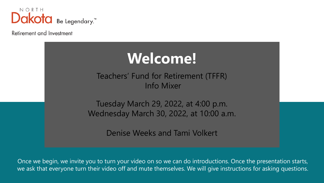

Retirement and Investment



Once we begin, we invite you to turn your video on so we can do introductions. Once the presentation starts, we ask that everyone turn their video off and mute themselves. We will give instructions for asking questions.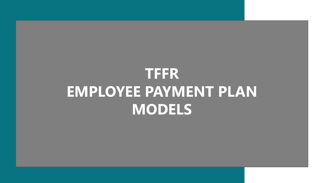# **TFFR EMPLOYEE PAYMENT PLAN MODELS**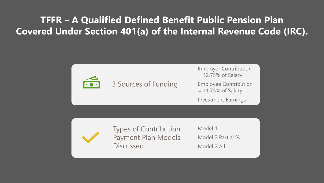## **TFFR – A Qualified Defined Benefit Public Pension Plan Covered Under Section 401(a) of the Internal Revenue Code (IRC).**



3 Sources of Funding

Employer Contribution = 12.75% of Salary Employee Contribution  $= 11.75\%$  of Salary Investment Earnings

Types of Contribution Payment Plan Models **Discussed** 

Model 1 Model 2 Partial % Model 2 All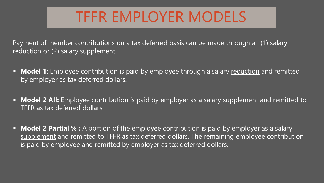# TFFR EMPLOYER MODELS

Payment of member contributions on a tax deferred basis can be made through a: (1) salary reduction or (2) salary supplement.

- **Model 1**: Employee contribution is paid by employee through a salary reduction and remitted by employer as tax deferred dollars.
- **Model 2 All:** Employee contribution is paid by employer as a salary supplement and remitted to TFFR as tax deferred dollars.
- **Model 2 Partial % :** A portion of the employee contribution is paid by employer as a salary supplement and remitted to TFFR as tax deferred dollars. The remaining employee contribution is paid by employee and remitted by employer as tax deferred dollars.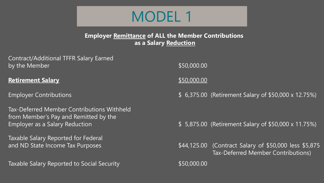

### **Employer Remittance of ALL the Member Contributions as a Salary Reduction**

Contract/Additional TFFR Salary Earned by the Member  $$50,000.00$ 

### **Retirement Salary \$50,000.000 \$50,000.000 \$50,000.000 \$50,000.000 \$50,000.000 \$50,000.000 \$50,000.000 \$50,000.00**

Tax-Deferred Member Contributions Withheld from Member's Pay and Remitted by the

Taxable Salary Reported for Federal

Taxable Salary Reported to Social Security **\$50,000.00** \$50,000.00

Employer Contributions **Employer Contributions 12.75%**)

Employer as a Salary Reduction \$ 5,875.00 (Retirement Salary of \$50,000 x 11.75%)

and ND State Income Tax Purposes  $$44,125.00$  (Contract Salary of \$50,000 less \$5,875 Tax-Deferred Member Contributions)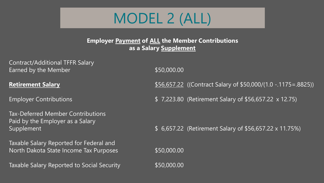

**Employer Payment of ALL the Member Contributions as a Salary Supplement**

Contract/Additional TFFR Salary Earned by the Member  $$50,000.00$ 

Tax-Deferred Member Contributions Paid by the Employer as a Salary

Taxable Salary Reported for Federal and North Dakota State Income Tax Purposes  $$50,000.00$ 

Taxable Salary Reported to Social Security **\$50,000.00** 

**Retirement Salary Exercise 2018** Superintensity of \$50,000/(1.0 -.1175=.8825))

Employer Contributions \$ 7,223.80 (Retirement Salary of \$56,657.22 x 12.75)

Supplement \$ 6,657.22 (Retirement Salary of \$56,657.22 x 11.75%)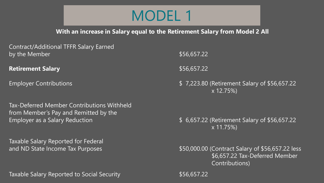## MODEL 1

**With an increase in Salary equal to the Retirement Salary from Model 2 All**

Contract/Additional TFFR Salary Earned by the Member  $$56,657.22$ 

**Retirement Salary 1988 and 2009 and 2009 and 2009 and 2009 and 2009 and 2009 and 2009 and 2009 and 2009 and 200** 

Tax-Deferred Member Contributions Withheld from Member's Pay and Remitted by the Employer as a Salary Reduction **6 and 3 and 3 and 3 and 3 and 3 and 3 and 4 and 4 and 4 and 4 and 4 and 4 and 4** 

Taxable Salary Reported for Federal

Taxable Salary Reported to Social Security **\$56,657.22** \$56,657.22

Employer Contributions \$ 7,223.80 (Retirement Salary of \$56,657.22 x 12.75%)

x 11.75%)

and ND State Income Tax Purposes  $$50,000.00$  (Contract Salary of \$56,657.22 less \$6,657.22 Tax-Deferred Member Contributions)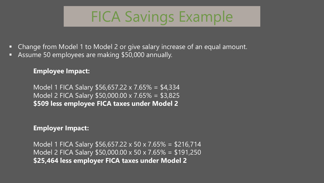# FICA Savings Example

- Change from Model 1 to Model 2 or give salary increase of an equal amount.
- Assume 50 employees are making \$50,000 annually.

## **Employee Impact:**

Model 1 FICA Salary \$56,657.22 x 7.65% = \$4,334 Model 2 FICA Salary \$50,000.00 x 7.65% = \$3,825 **\$509 less employee FICA taxes under Model 2**

### **Employer Impact:**

Model 1 FICA Salary \$56,657.22 x 50 x 7.65% = \$216,714 Model 2 FICA Salary \$50,000.00 x 50 x 7.65% = \$191,250 **\$25,464 less employer FICA taxes under Model 2**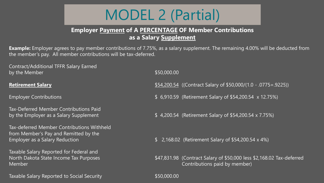# MODEL 2 (Partial)

### **Employer Payment of A PERCENTAGE OF Member Contributions as a Salary Supplement**

**Example:** Employer agrees to pay member contributions of 7.75%, as a salary supplement. The remaining 4.00% will be deducted from the member's pay. All member contributions will be tax-deferred.

Contract/Additional TFFR Salary Earned by the Member  $$50,000.00$ 

Tax-Deferred Member Contributions Paid

Tax-deferred Member Contributions Withheld from Member's Pay and Remitted by the

Taxable Salary Reported for Federal and

Taxable Salary Reported to Social Security **\$50,000.000 \$50,000.00** 

**Retirement Salary** \$54,200.54 ((Contract Salary of \$50,000/(1.0 - .0775=.9225))

Employer Contributions **Employer Contributions 12.75%**)

by the Employer as a Salary Supplement  $$ 4,200.54$  (Retirement Salary of \$54,200.54 x 7.75%)

Employer as a Salary Reduction **Employer as a Salary Reduction 6 19 and 10** and 10 and 10 and 16 and 16 and 16 and 16 and 16 and 16 and 16 and 16 and 16 and 16 and 16 and 16 and 16 and 16 and 16 and 16 and 16 and 16 and

North Dakota State Income Tax Purposes  $$47,831.98$  (Contract Salary of \$50,000 less \$2,168.02 Tax-deferred Member Contributions paid by member)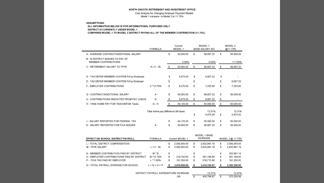### NORTH DAKOTA RETIREMENT AND INVESTMENT OFFICE

Cost Analysis for Changing Employer Payment Models Model 1 compare to Model 2 at 11.75%

### **ASSUMPTIONS:**

### ALL INFORMATION BELOW IS FOR INFORMATIONAL PURPOSES ONLY DISTRICT IS CURRENTLY UNDER MODEL 1 COMPARES MODEL 1 TO MODEL 2 DISTRICT PAYING ALL OF THE MEMBER CONTRIBUTION (11.75%)

|                                                                | <b>FORMULA</b>                    |    | Current<br>MODEL 1 |    | MODEL 1<br><b>BASE SALARY INC</b> | MODEL <sub>2</sub><br>@11.75% |
|----------------------------------------------------------------|-----------------------------------|----|--------------------|----|-----------------------------------|-------------------------------|
| A - AVERAGE CONTRACT/ADDITIONAL SALARY                         |                                   | \$ | 50,000.00          | s  | 56,657.22                         | \$<br>50.000.00               |
| <b>B - % DISTRICT WISHES TO PAY OF</b><br>MEMBER CONTRIBUTIONS |                                   |    | 0.00%              |    | 0.00%                             | 11.750%                       |
| C - RETIREMENT SALARY TO TFFR                                  | $A/(1 - B)$                       | \$ | 50.000.00          | \$ | 56,657.22                         | \$<br>56,657.22               |
| D - TAX DEFER MEMBER CONTRIB Pd by Employee                    |                                   | \$ | 5.875.00           | \$ | 6,657.22                          | \$                            |
| E - TAX DEFER MEMBER CONTRIB Pd by Employer                    |                                   | \$ |                    | \$ |                                   | \$<br>6,657.22                |
| <b>F - EMPLOYER CONTRIBUTIONS</b>                              | C *12.75%                         | \$ | 6,375.00           | \$ | 7,223.80                          | \$<br>7,223.80                |
| G - CONTRACT/ADDITIONAL SALARY                                 | A                                 | \$ | 50,000.00          | \$ | 56,657.22                         | \$<br>50,000.00               |
| H - CONTRIBUTIONS DEDUCTED FROM PAY CHECK                      | D                                 | s. | 5.875.00           | \$ | 6,657.22                          | \$                            |
| H - TAKE HOME PAY FOR TEACHER B4 Taxes                         | $G - H$                           | \$ | 44.125.00          | \$ | 50,000.00                         | \$<br>50,000.00               |
|                                                                | Take home pay difference B4 taxes |    |                    | \$ | 13.31%<br>5,875.00                | \$<br>13.31%<br>5,875.00      |
| J - SALARY REPORTED FOR FEDERAL TAX                            |                                   | \$ | 44.125.00          | \$ | 50,000.00                         | \$<br>50,000.00               |
| K - SALARY REPORTED FOR FICA WAGES                             | Α                                 | \$ | 50,000.00          | \$ | 56,657.22                         | \$<br>50,000.00               |
|                                                                |                                   |    |                    |    | MODEL 1 BASE                      |                               |

| <b>EFFECT ON SCHOOL DISTRICT PAYROLL</b>    | <b>FORMULA</b>  |     | Current MODEL 1       |    | <b>INCREASE</b> |    | MODEL 2 @ 11.75% |
|---------------------------------------------|-----------------|-----|-----------------------|----|-----------------|----|------------------|
| L - TOTAL DISTRICT COMPENSATION             |                 | \$  | 2,500,000.00          | \$ | 2.832.861.19    | \$ | 2,500,000.00     |
| M - TFFR SALARY                             | $L/(1 - B)$     | \$  | 2,500,000.00          | \$ | 2.832.861.19    | \$ | 2.832.861.19     |
| N - MEMBER CONTRIBUTION PAID BY DISTRICT    | M * B           |     | $\tilde{\phantom{a}}$ | S  |                 | S  | 332.861.19       |
| O - EMPLOYER CONTRIBUTIONS PAID BY DISTRICT | M *12 75%       | S   | 318.750.00            | s  | 361,189.80      | S  | 361.189.80       |
| P - FICA TAX PAID BY EMPLOYER               | $L * 7.65%$     | \$. | 191.250.00            | s  | 216,713.88      | \$ | 191.250.00       |
| O - TOTAL PAYROLL EXPENSE FOR SCHOOL        | $L + N + O + P$ |     | 3,010,000.00          |    | 3,410,764.87    |    | 3,385,300.99     |
|                                             |                 |     |                       |    |                 |    |                  |

| DISTRICT PAYROLL EXPENDITURE INCREASE | 13.31%     | 12.47%     |
|---------------------------------------|------------|------------|
| OR                                    | 400.764.87 | 375.300.99 |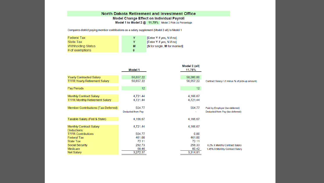### North Dakota Retirement and Investment Office Model Change Effect on Individual Payroll Model 1 to Model 2 @ 11.75% Model 2 Pick-Up Percentage

Compares district paying member contributions as a salary supplement (Model 2 all) to Model 1

| <b>Federal Tax</b> |   | [Enter Y if yes, N if no]       |
|--------------------|---|---------------------------------|
| <b>State Tax</b>   |   | <b>Enter Y if yes, N if nol</b> |
| Withholding Status | м | [S for single, M for married]   |
| $#$ of exemptions  |   |                                 |

|                                       | Model 1           | Model 2 (all)<br>11.75% |                                                 |
|---------------------------------------|-------------------|-------------------------|-------------------------------------------------|
| <b>Yearly Contracted Salary</b>       | 56,657.22         | 50,000.00               |                                                 |
| <b>TFFR Yearly Retirement Salary</b>  | 56,657.22         | 56,657.22               | Contract Salary / (1 minus % of pick-up amount) |
| Pay Periods                           | 12 <sup>2</sup>   | 12 <sup>7</sup>         |                                                 |
| Monthly Contract Salary               | 4,721.44          | 4,166.67                |                                                 |
| <b>TFFR Monthly Retirement Salary</b> | 4,721.44          | 4,721.44                |                                                 |
| Member Contributions (Tax-Deferred)   | 554.77            | 554.77                  | Paid by Employer (tax-deferred)                 |
|                                       | Deducted from Pay |                         | Deducted from Pay (tax deferred)                |
| Taxable Salary (Fed & State)          | 4,166.67          | 4,166.67                |                                                 |
| Monthly Contract Salary               | 4,721.44          | 4,166.67                |                                                 |
| Deductions:                           |                   |                         |                                                 |
| <b>TFFR Contributions</b>             | 554.77            | 0.00                    |                                                 |
| <b>Federal Tax</b>                    | 461.00            | 461.00                  |                                                 |
| <b>State Tax</b>                      | 72.11             | 72.11                   |                                                 |
| Social Security                       | 292.73            | 258.33                  | 6.2% X Monthly Contract Salary                  |
| <b>Medicare</b>                       | 68.46             | 60.42                   | 1.45% X Monthly Contract Salary                 |
| Net Salary                            | 3,272.37          | 3,314.81                |                                                 |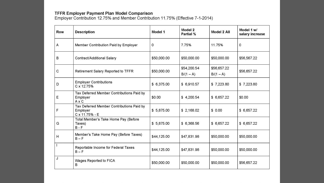TFFR E<mark>mployer Payment Plan Model Comparison</mark><br>Employer Contribution 12.75% and Member Contribution 11.75% (Effective 7-1-2014)

| <b>Row</b>   | <b>Description</b>                                                      | Model 1     | Model 2<br><b>Partial %</b> | Model 2 All                | Model 1 w/<br>salary increase |
|--------------|-------------------------------------------------------------------------|-------------|-----------------------------|----------------------------|-------------------------------|
| A            | Member Contribution Paid by Employer                                    | 0           | 7.75%                       | 11.75%                     | $\mathbf 0$                   |
| В            | Contract/Additional Salary                                              | \$50,000.00 | \$50,000.00                 | \$50,000.00                | \$56,567.22                   |
| $\mathsf{C}$ | <b>Retirement Salary Reported to TFFR</b>                               | \$50,000.00 | \$54,200.54<br>$B/(1 - A)$  | \$56,657.22<br>$B/(1 - A)$ | \$56,657.22                   |
| D            | <b>Employer Contributions</b><br>C x 12.75%                             | \$6,375.00  | \$6,910.57                  | \$7,223.80                 | \$7,223.80                    |
| E            | Tax Deferred Member Contributions Paid by<br>Employer<br>$A \times C$   | \$0.00      | \$4,200.54                  | \$6,657.22                 | \$0.00                        |
| F            | Tax Deferred Member Contributions Paid by<br>Employer<br>C x 11.75% - E | \$5,875.00  | \$2,168.02                  | \$0.00                     | \$ 6,657.22                   |
| G            | Total Member's Take Home Pay (Before<br>Taxes)<br>$B - F$               | \$5,875.00  | \$6,368.56                  | \$6,657.22                 | \$6,657.22                    |
| H            | Member's Take Home Pay (Before Taxes)<br>$B - F$                        | \$44,125.00 | \$47,831.98                 | \$50,000.00                | \$50,000.00                   |
|              | Reportable Income for Federal Taxes<br>$B - F$                          | \$44,125.00 | \$47,831.98                 | \$50,000.00                | \$50,000.00                   |
| J            | Wages Reported to FICA<br>в                                             | \$50,000.00 | \$50,000.00                 | \$50,000.00                | \$56,657.22                   |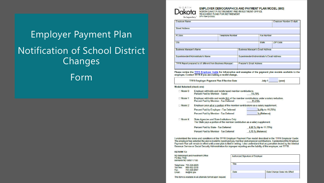**Employer Payment Plan Notification of School District** Changes Form



**EMPLOYER DEMOGRAPHICS AND PAYMENT PLAN MODEL (800)**<br>NORTH DAKOTA RETIREMENT AND INVESTMENT OFFICE<br>TEACHERS' FUND FOR RETIREMENT

SFN 7894 (2-2022) Be Legendary.

| <b>Employer Name</b>                                         |                         |                                              |                   | <b>Employer Number (5-digit)</b> |
|--------------------------------------------------------------|-------------------------|----------------------------------------------|-------------------|----------------------------------|
|                                                              |                         |                                              |                   |                                  |
| <b>Street Address</b>                                        |                         |                                              |                   |                                  |
|                                                              |                         |                                              |                   |                                  |
| PO Box                                                       | <b>Telephone Number</b> |                                              | <b>Fax Number</b> |                                  |
|                                                              |                         |                                              |                   |                                  |
| City                                                         |                         |                                              | <b>State</b>      | <b>ZIP Code</b>                  |
|                                                              |                         |                                              |                   |                                  |
| <b>Business Manager's Name</b>                               |                         | <b>Business Manager's Email Address</b>      |                   |                                  |
|                                                              |                         |                                              |                   |                                  |
| Superintendent/Administrator's Name                          |                         | Superintendent/Administrator's Email Address |                   |                                  |
|                                                              |                         |                                              |                   |                                  |
| TFFR Report prepared by (if different from Business Manager) |                         | Preparer's Email Address                     |                   |                                  |
|                                                              |                         |                                              |                   |                                  |

Please review the TFFR Employer Guide for information and examples of the payment plan models available to the employer. Contact TFFR if you are making a model change.

|                            | <b>TFFR Employer Payment Plan Effective Date</b>                                                                                 | July 1<br>(year)      |
|----------------------------|----------------------------------------------------------------------------------------------------------------------------------|-----------------------|
| Aodel Selected (check one) |                                                                                                                                  |                       |
| $\Box$ Model 0             | Employer withholds and remits taxed member contributions.<br>Percent Paid by Member - Taxed                                      | 11.75%                |
| $\Box$ Model 1             | Employer withholds and remits ALL of the member contributions under a salary reduction.<br>Percent Paid by Member - Tax Deferred | 11.75%                |
| $\Box$ Model 2             | Employer pays all or a portion of the member contributions as a salary supplement.                                               |                       |
|                            | Percent Paid by Employer - Tax Deferred                                                                                          | % (Up to 11.75%)      |
|                            | Percent Paid by Member - Tax Deferred                                                                                            | % (Balance)           |
| $\Box$ Model 4             | State Agencies and State Institutions Only<br>The State pays a portion of the member contribution as a salary supplement.        |                       |
|                            | Percent Paid by State - Tax Deferred                                                                                             | 4.00 % (Up to 11.75%) |
|                            | Percent Paid by Member - Tax Deferred                                                                                            | 7.75 % (Balance)      |
|                            |                                                                                                                                  |                       |

I understand the terms and conditions of the TFFR Employer Payment Plan model described in the TFFR Employer Guide. The employer has selected the above model to report and pay member and employer contributions. I understand this Employer Payment Plan will remain in effect until a new plan is filed in writing. I also understand that any penalties levied by the Internal Revenue Service or Social Security Administration for improper reporting are the liability of the employer, not TFFR.

|  | <b>RETURN TO:</b> |  |
|--|-------------------|--|
|  |                   |  |
|  |                   |  |

ND Retirement and Investment Office PO Box 7100 Bismarck ND 58507-7100

Telephone: 701-328-9885 800-952-2970 Toll free: 701-328-9897 Fax: Email: rio@nd.gov

| Authorized Signature of Employer |                              |
|----------------------------------|------------------------------|
| Title                            |                              |
|                                  |                              |
| Date                             | Date Change Goes Into Effect |
|                                  |                              |

This form is available in an alternate format upon request.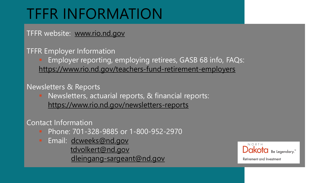# TFFR INFORMATION

TFFR website: [www.rio.nd.gov](http://www.rio.nd.gov/)

TFFR Employer Information

 Employer reporting, employing retirees, GASB 68 info, FAQs: <https://www.rio.nd.gov/teachers-fund-retirement-employers>

Newsletters & Reports

 Newsletters, actuarial reports, & financial reports: <https://www.rio.nd.gov/newsletters-reports>

Contact Information

- Phone: 701-328-9885 or 1-800-952-2970
- **Email: [dcweeks@nd.gov](mailto:dcweeks@nd.gov)** [tdvolkert@nd.gov](mailto:tdvolkert@nd.gov) [dleingang-sargeant@nd.gov](mailto:dleingang-sargeant@nd.gov)